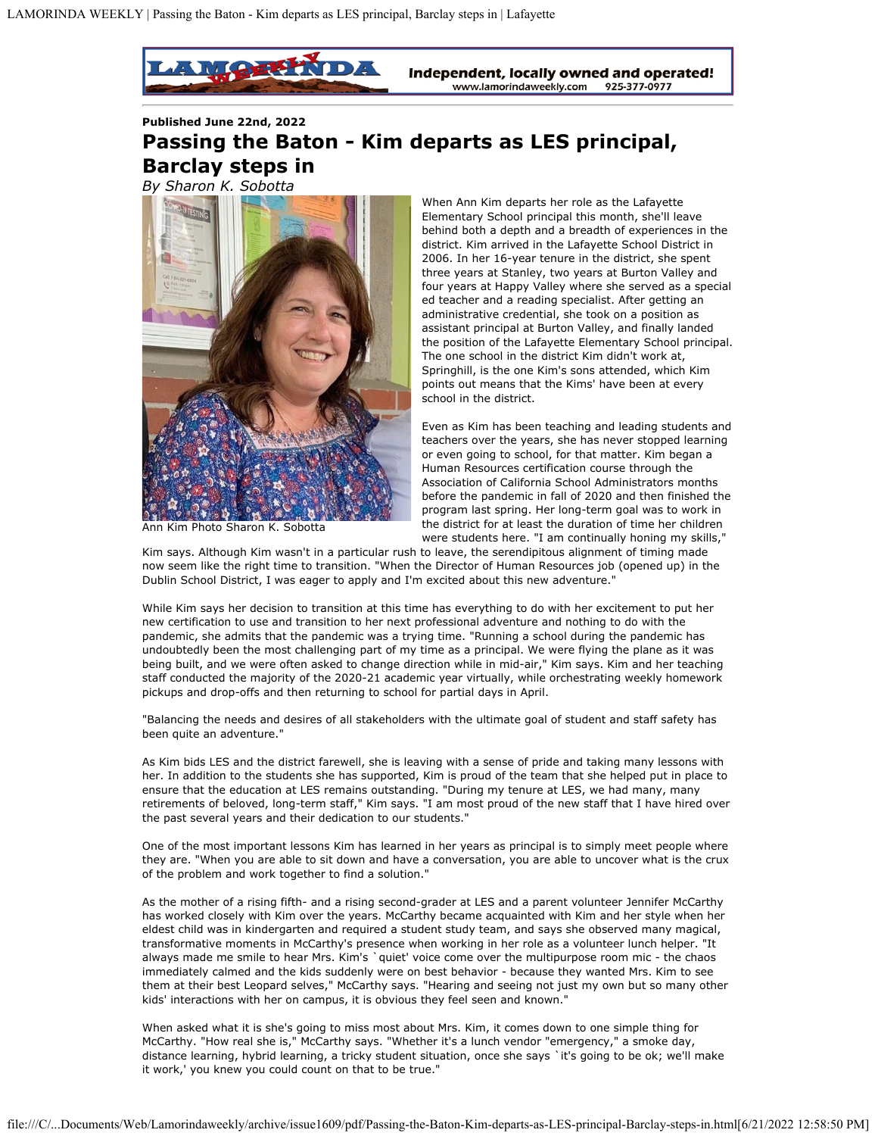

## **Published June 22nd, 2022 Passing the Baton - Kim departs as LES principal, Barclay steps in**

*By Sharon K. Sobotta*



Ann Kim Photo Sharon K. Sobotta

When Ann Kim departs her role as the Lafayette Elementary School principal this month, she'll leave behind both a depth and a breadth of experiences in the district. Kim arrived in the Lafayette School District in 2006. In her 16-year tenure in the district, she spent three years at Stanley, two years at Burton Valley and four years at Happy Valley where she served as a special ed teacher and a reading specialist. After getting an administrative credential, she took on a position as assistant principal at Burton Valley, and finally landed the position of the Lafayette Elementary School principal. The one school in the district Kim didn't work at, Springhill, is the one Kim's sons attended, which Kim points out means that the Kims' have been at every school in the district.

Even as Kim has been teaching and leading students and teachers over the years, she has never stopped learning or even going to school, for that matter. Kim began a Human Resources certification course through the Association of California School Administrators months before the pandemic in fall of 2020 and then finished the program last spring. Her long-term goal was to work in the district for at least the duration of time her children were students here. "I am continually honing my skills,"

Kim says. Although Kim wasn't in a particular rush to leave, the serendipitous alignment of timing made now seem like the right time to transition. "When the Director of Human Resources job (opened up) in the Dublin School District, I was eager to apply and I'm excited about this new adventure."

While Kim says her decision to transition at this time has everything to do with her excitement to put her new certification to use and transition to her next professional adventure and nothing to do with the pandemic, she admits that the pandemic was a trying time. "Running a school during the pandemic has undoubtedly been the most challenging part of my time as a principal. We were flying the plane as it was being built, and we were often asked to change direction while in mid-air," Kim says. Kim and her teaching staff conducted the majority of the 2020-21 academic year virtually, while orchestrating weekly homework pickups and drop-offs and then returning to school for partial days in April.

"Balancing the needs and desires of all stakeholders with the ultimate goal of student and staff safety has been quite an adventure."

As Kim bids LES and the district farewell, she is leaving with a sense of pride and taking many lessons with her. In addition to the students she has supported, Kim is proud of the team that she helped put in place to ensure that the education at LES remains outstanding. "During my tenure at LES, we had many, many retirements of beloved, long-term staff," Kim says. "I am most proud of the new staff that I have hired over the past several years and their dedication to our students."

One of the most important lessons Kim has learned in her years as principal is to simply meet people where they are. "When you are able to sit down and have a conversation, you are able to uncover what is the crux of the problem and work together to find a solution."

As the mother of a rising fifth- and a rising second-grader at LES and a parent volunteer Jennifer McCarthy has worked closely with Kim over the years. McCarthy became acquainted with Kim and her style when her eldest child was in kindergarten and required a student study team, and says she observed many magical, transformative moments in McCarthy's presence when working in her role as a volunteer lunch helper. "It always made me smile to hear Mrs. Kim's `quiet' voice come over the multipurpose room mic - the chaos immediately calmed and the kids suddenly were on best behavior - because they wanted Mrs. Kim to see them at their best Leopard selves," McCarthy says. "Hearing and seeing not just my own but so many other kids' interactions with her on campus, it is obvious they feel seen and known."

When asked what it is she's going to miss most about Mrs. Kim, it comes down to one simple thing for McCarthy. "How real she is," McCarthy says. "Whether it's a lunch vendor "emergency," a smoke day, distance learning, hybrid learning, a tricky student situation, once she says `it's going to be ok; we'll make it work,' you knew you could count on that to be true."